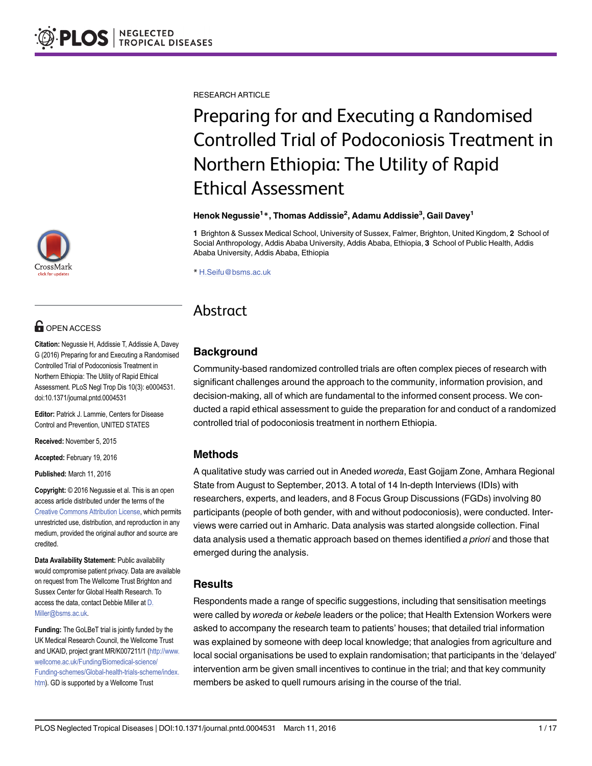RESEARCH ARTICLE

# Preparing for and Executing a Randomised Controlled Trial of Podoconiosis Treatment in Northern Ethiopia: The Utility of Rapid Ethical Assessment

### Henok Negussie<sup>1</sup>\*, Thomas Addissie<sup>2</sup>, Adamu Addissie<sup>3</sup>, Gail Davey<sup>1</sup>

1 Brighton & Sussex Medical School, University of Sussex, Falmer, Brighton, United Kingdom, 2 School of Social Anthropology, Addis Ababa University, Addis Ababa, Ethiopia, 3 School of Public Health, Addis Ababa University, Addis Ababa, Ethiopia

\* H.Seifu@bsms.ac.uk

## Abstract

### **Background**

Community-based randomized controlled trials are often complex pieces of research with significant challenges around the approach to the community, information provision, and decision-making, all of which are fundamental to the informed consent process. We conducted a rapid ethical assessment to guide the preparation for and conduct of a randomized controlled trial of podoconiosis treatment in northern Ethiopia.

### Methods

A qualitative study was carried out in Aneded woreda, East Gojjam Zone, Amhara Regional State from August to September, 2013. A total of 14 In-depth Interviews (IDIs) with researchers, experts, and leaders, and 8 Focus Group Discussions (FGDs) involving 80 participants (people of both gender, with and without podoconiosis), were conducted. Interviews were carried out in Amharic. Data analysis was started alongside collection. Final data analysis used a thematic approach based on themes identified a priori and those that emerged during the analysis.

### Results

Respondents made a range of specific suggestions, including that sensitisation meetings were called by woreda or kebele leaders or the police; that Health Extension Workers were asked to accompany the research team to patients' houses; that detailed trial information was explained by someone with deep local knowledge; that analogies from agriculture and local social organisations be used to explain randomisation; that participants in the 'delayed' intervention arm be given small incentives to continue in the trial; and that key community members be asked to quell rumours arising in the course of the trial.



## **G** OPEN ACCESS

Citation: Negussie H, Addissie T, Addissie A, Davey G (2016) Preparing for and Executing a Randomised Controlled Trial of Podoconiosis Treatment in Northern Ethiopia: The Utility of Rapid Ethical Assessment. PLoS Negl Trop Dis 10(3): e0004531. doi:10.1371/journal.pntd.0004531

Editor: Patrick J. Lammie, Centers for Disease Control and Prevention, UNITED STATES

Received: November 5, 2015

Accepted: February 19, 2016

Published: March 11, 2016

Copyright: © 2016 Negussie et al. This is an open access article distributed under the terms of the [Creative Commons Attribution License,](http://creativecommons.org/licenses/by/4.0/) which permits unrestricted use, distribution, and reproduction in any medium, provided the original author and source are credited.

Data Availability Statement: Public availability would compromise patient privacy. Data are available on request from The Wellcome Trust Brighton and Sussex Center for Global Health Research. To access the data, contact Debbie Miller at D. Miller@bsms.ac.uk.

Funding: The GoLBeT trial is jointly funded by the UK Medical Research Council, the Wellcome Trust and UKAID, project grant MR/K007211/1 ([http://www.](http://www.wellcome.ac.uk/Funding/Biomedical-science/Funding-schemes/Global-health-trials-scheme/index.htm) [wellcome.ac.uk/Funding/Biomedical-science/](http://www.wellcome.ac.uk/Funding/Biomedical-science/Funding-schemes/Global-health-trials-scheme/index.htm) [Funding-schemes/Global-health-trials-scheme/index.](http://www.wellcome.ac.uk/Funding/Biomedical-science/Funding-schemes/Global-health-trials-scheme/index.htm) [htm\)](http://www.wellcome.ac.uk/Funding/Biomedical-science/Funding-schemes/Global-health-trials-scheme/index.htm). GD is supported by a Wellcome Trust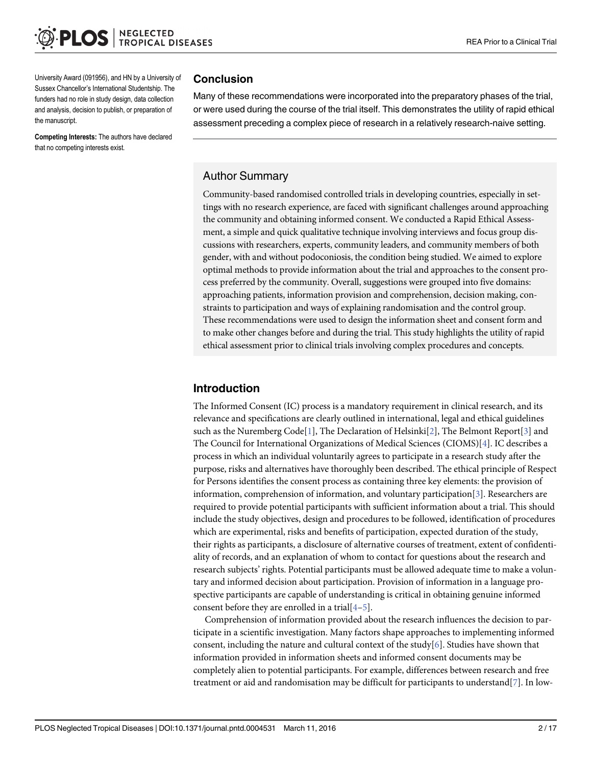<span id="page-1-0"></span>University Award (091956), and HN by a University of Sussex Chancellor's International Studentship. The funders had no role in study design, data collection and analysis, decision to publish, or preparation of the manuscript.

Competing Interests: The authors have declared that no competing interests exist.

### Conclusion

Many of these recommendations were incorporated into the preparatory phases of the trial, or were used during the course of the trial itself. This demonstrates the utility of rapid ethical assessment preceding a complex piece of research in a relatively research-naive setting.

### Author Summary

Community-based randomised controlled trials in developing countries, especially in settings with no research experience, are faced with significant challenges around approaching the community and obtaining informed consent. We conducted a Rapid Ethical Assessment, a simple and quick qualitative technique involving interviews and focus group discussions with researchers, experts, community leaders, and community members of both gender, with and without podoconiosis, the condition being studied. We aimed to explore optimal methods to provide information about the trial and approaches to the consent process preferred by the community. Overall, suggestions were grouped into five domains: approaching patients, information provision and comprehension, decision making, constraints to participation and ways of explaining randomisation and the control group. These recommendations were used to design the information sheet and consent form and to make other changes before and during the trial. This study highlights the utility of rapid ethical assessment prior to clinical trials involving complex procedures and concepts.

### Introduction

The Informed Consent (IC) process is a mandatory requirement in clinical research, and its relevance and specifications are clearly outlined in international, legal and ethical guidelines such as the Nuremberg Code[\[1\]](#page-15-0), The Declaration of Helsinki[\[2](#page-15-0)], The Belmont Report[[3\]](#page-15-0) and The Council for International Organizations of Medical Sciences (CIOMS)[[4\]](#page-15-0). IC describes a process in which an individual voluntarily agrees to participate in a research study after the purpose, risks and alternatives have thoroughly been described. The ethical principle of Respect for Persons identifies the consent process as containing three key elements: the provision of information, comprehension of information, and voluntary participation  $[3]$  $[3]$ . Researchers are required to provide potential participants with sufficient information about a trial. This should include the study objectives, design and procedures to be followed, identification of procedures which are experimental, risks and benefits of participation, expected duration of the study, their rights as participants, a disclosure of alternative courses of treatment, extent of confidentiality of records, and an explanation of whom to contact for questions about the research and research subjects' rights. Potential participants must be allowed adequate time to make a voluntary and informed decision about participation. Provision of information in a language prospective participants are capable of understanding is critical in obtaining genuine informed consent before they are enrolled in a trial  $[4-5]$  $[4-5]$  $[4-5]$ .

Comprehension of information provided about the research influences the decision to participate in a scientific investigation. Many factors shape approaches to implementing informed consent, including the nature and cultural context of the study[[6\]](#page-15-0). Studies have shown that information provided in information sheets and informed consent documents may be completely alien to potential participants. For example, differences between research and free treatment or aid and randomisation may be difficult for participants to understand $[7]$  $[7]$ . In low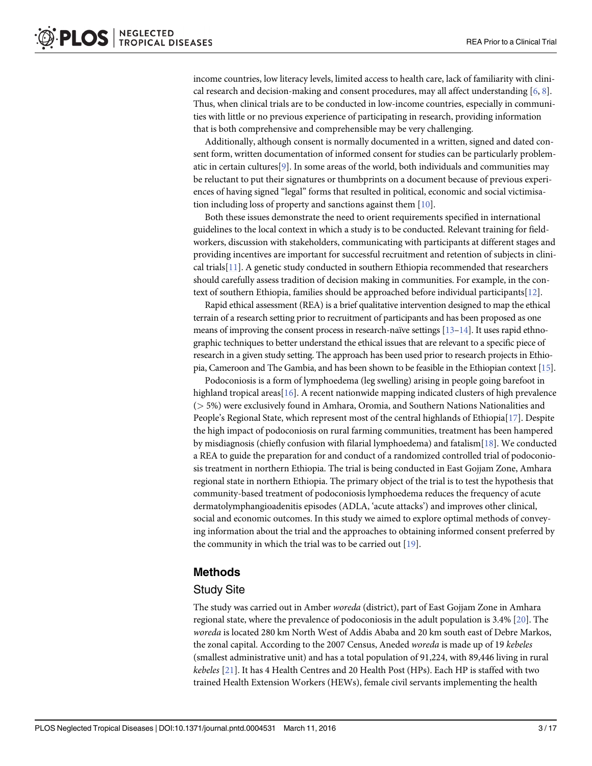<span id="page-2-0"></span>income countries, low literacy levels, limited access to health care, lack of familiarity with clinical research and decision-making and consent procedures, may all affect understanding  $[6, 8]$  $[6, 8]$  $[6, 8]$  $[6, 8]$  $[6, 8]$ . Thus, when clinical trials are to be conducted in low-income countries, especially in communities with little or no previous experience of participating in research, providing information that is both comprehensive and comprehensible may be very challenging.

Additionally, although consent is normally documented in a written, signed and dated consent form, written documentation of informed consent for studies can be particularly problematic in certain cultures[\[9](#page-16-0)]. In some areas of the world, both individuals and communities may be reluctant to put their signatures or thumbprints on a document because of previous experiences of having signed "legal" forms that resulted in political, economic and social victimisation including loss of property and sanctions against them [\[10\]](#page-16-0).

Both these issues demonstrate the need to orient requirements specified in international guidelines to the local context in which a study is to be conducted. Relevant training for fieldworkers, discussion with stakeholders, communicating with participants at different stages and providing incentives are important for successful recruitment and retention of subjects in clinical trials[[11](#page-16-0)]. A genetic study conducted in southern Ethiopia recommended that researchers should carefully assess tradition of decision making in communities. For example, in the context of southern Ethiopia, families should be approached before individual participants[\[12\]](#page-16-0).

Rapid ethical assessment (REA) is a brief qualitative intervention designed to map the ethical terrain of a research setting prior to recruitment of participants and has been proposed as one means of improving the consent process in research-naïve settings  $[13-14]$  $[13-14]$  $[13-14]$  $[13-14]$  $[13-14]$ . It uses rapid ethnographic techniques to better understand the ethical issues that are relevant to a specific piece of research in a given study setting. The approach has been used prior to research projects in Ethiopia, Cameroon and The Gambia, and has been shown to be feasible in the Ethiopian context [\[15](#page-16-0)].

Podoconiosis is a form of lymphoedema (leg swelling) arising in people going barefoot in highland tropical areas [[16\]](#page-16-0). A recent nationwide mapping indicated clusters of high prevalence (> 5%) were exclusively found in Amhara, Oromia, and Southern Nations Nationalities and People's Regional State, which represent most of the central highlands of Ethiopia[[17\]](#page-16-0). Despite the high impact of podoconiosis on rural farming communities, treatment has been hampered by misdiagnosis (chiefly confusion with filarial lymphoedema) and fatalism[\[18\]](#page-16-0). We conducted a REA to guide the preparation for and conduct of a randomized controlled trial of podoconiosis treatment in northern Ethiopia. The trial is being conducted in East Gojjam Zone, Amhara regional state in northern Ethiopia. The primary object of the trial is to test the hypothesis that community-based treatment of podoconiosis lymphoedema reduces the frequency of acute dermatolymphangioadenitis episodes (ADLA, 'acute attacks') and improves other clinical, social and economic outcomes. In this study we aimed to explore optimal methods of conveying information about the trial and the approaches to obtaining informed consent preferred by the community in which the trial was to be carried out [\[19](#page-16-0)].

### Methods

### Study Site

The study was carried out in Amber woreda (district), part of East Gojjam Zone in Amhara regional state, where the prevalence of podoconiosis in the adult population is 3.4% [\[20\]](#page-16-0). The woreda is located 280 km North West of Addis Ababa and 20 km south east of Debre Markos, the zonal capital. According to the 2007 Census, Aneded woreda is made up of 19 kebeles (smallest administrative unit) and has a total population of 91,224, with 89,446 living in rural kebeles [[21](#page-16-0)]. It has 4 Health Centres and 20 Health Post (HPs). Each HP is staffed with two trained Health Extension Workers (HEWs), female civil servants implementing the health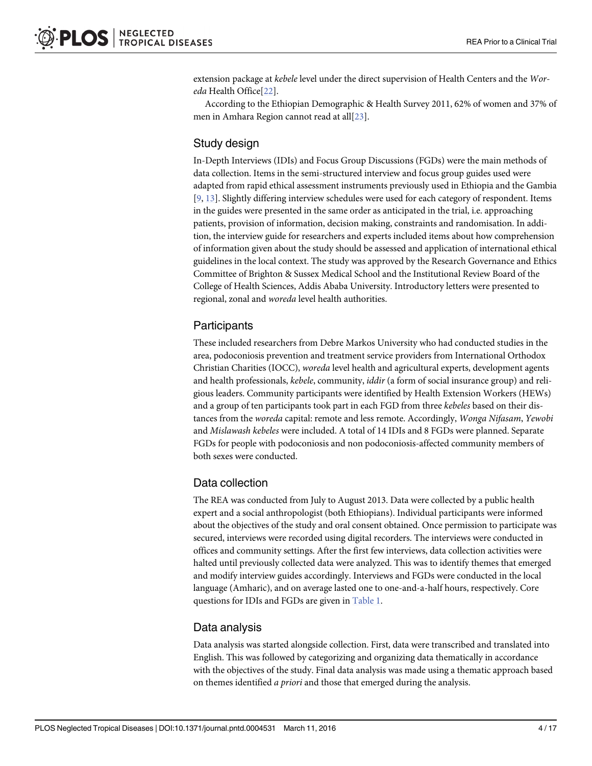<span id="page-3-0"></span>extension package at kebele level under the direct supervision of Health Centers and the Woreda Health Office[[22\]](#page-16-0).

According to the Ethiopian Demographic & Health Survey 2011, 62% of women and 37% of men in Amhara Region cannot read at all[[23](#page-16-0)].

### Study design

In-Depth Interviews (IDIs) and Focus Group Discussions (FGDs) were the main methods of data collection. Items in the semi-structured interview and focus group guides used were adapted from rapid ethical assessment instruments previously used in Ethiopia and the Gambia [\[9](#page-16-0), [13](#page-16-0)]. Slightly differing interview schedules were used for each category of respondent. Items in the guides were presented in the same order as anticipated in the trial, i.e. approaching patients, provision of information, decision making, constraints and randomisation. In addition, the interview guide for researchers and experts included items about how comprehension of information given about the study should be assessed and application of international ethical guidelines in the local context. The study was approved by the Research Governance and Ethics Committee of Brighton & Sussex Medical School and the Institutional Review Board of the College of Health Sciences, Addis Ababa University. Introductory letters were presented to regional, zonal and woreda level health authorities.

### **Participants**

These included researchers from Debre Markos University who had conducted studies in the area, podoconiosis prevention and treatment service providers from International Orthodox Christian Charities (IOCC), woreda level health and agricultural experts, development agents and health professionals, kebele, community, iddir (a form of social insurance group) and religious leaders. Community participants were identified by Health Extension Workers (HEWs) and a group of ten participants took part in each FGD from three kebeles based on their distances from the woreda capital: remote and less remote. Accordingly, Wonga Nifasam, Yewobi and Mislawash kebeles were included. A total of 14 IDIs and 8 FGDs were planned. Separate FGDs for people with podoconiosis and non podoconiosis-affected community members of both sexes were conducted.

### Data collection

The REA was conducted from July to August 2013. Data were collected by a public health expert and a social anthropologist (both Ethiopians). Individual participants were informed about the objectives of the study and oral consent obtained. Once permission to participate was secured, interviews were recorded using digital recorders. The interviews were conducted in offices and community settings. After the first few interviews, data collection activities were halted until previously collected data were analyzed. This was to identify themes that emerged and modify interview guides accordingly. Interviews and FGDs were conducted in the local language (Amharic), and on average lasted one to one-and-a-half hours, respectively. Core questions for IDIs and FGDs are given in [Table 1.](#page-4-0)

### Data analysis

Data analysis was started alongside collection. First, data were transcribed and translated into English. This was followed by categorizing and organizing data thematically in accordance with the objectives of the study. Final data analysis was made using a thematic approach based on themes identified a priori and those that emerged during the analysis.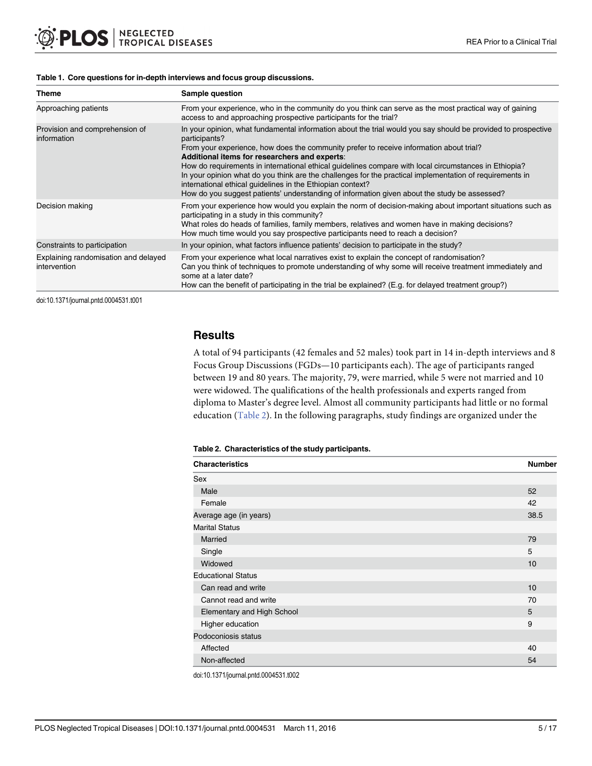#### <span id="page-4-0"></span>[Table 1.](#page-3-0) Core questions for in-depth interviews and focus group discussions.

| <b>Theme</b>                                         | Sample question                                                                                                                                                                                                                                                                                                                                                                                                                                                                                                                                                                                                                                               |
|------------------------------------------------------|---------------------------------------------------------------------------------------------------------------------------------------------------------------------------------------------------------------------------------------------------------------------------------------------------------------------------------------------------------------------------------------------------------------------------------------------------------------------------------------------------------------------------------------------------------------------------------------------------------------------------------------------------------------|
| Approaching patients                                 | From your experience, who in the community do you think can serve as the most practical way of gaining<br>access to and approaching prospective participants for the trial?                                                                                                                                                                                                                                                                                                                                                                                                                                                                                   |
| Provision and comprehension of<br>information        | In your opinion, what fundamental information about the trial would you say should be provided to prospective<br>participants?<br>From your experience, how does the community prefer to receive information about trial?<br>Additional items for researchers and experts:<br>How do requirements in international ethical guidelines compare with local circumstances in Ethiopia?<br>In your opinion what do you think are the challenges for the practical implementation of requirements in<br>international ethical guidelines in the Ethiopian context?<br>How do you suggest patients' understanding of information given about the study be assessed? |
| Decision making                                      | From your experience how would you explain the norm of decision-making about important situations such as<br>participating in a study in this community?<br>What roles do heads of families, family members, relatives and women have in making decisions?<br>How much time would you say prospective participants need to reach a decision?                                                                                                                                                                                                                                                                                                                  |
| Constraints to participation                         | In your opinion, what factors influence patients' decision to participate in the study?                                                                                                                                                                                                                                                                                                                                                                                                                                                                                                                                                                       |
| Explaining randomisation and delayed<br>intervention | From your experience what local narratives exist to explain the concept of randomisation?<br>Can you think of techniques to promote understanding of why some will receive treatment immediately and<br>some at a later date?<br>How can the benefit of participating in the trial be explained? (E.g. for delayed treatment group?)                                                                                                                                                                                                                                                                                                                          |

doi:10.1371/journal.pntd.0004531.t001

### **Results**

A total of 94 participants (42 females and 52 males) took part in 14 in-depth interviews and 8 Focus Group Discussions (FGDs—10 participants each). The age of participants ranged between 19 and 80 years. The majority, 79, were married, while 5 were not married and 10 were widowed. The qualifications of the health professionals and experts ranged from diploma to Master's degree level. Almost all community participants had little or no formal education (Table 2). In the following paragraphs, study findings are organized under the

#### Table 2. Characteristics of the study participants.

| <b>Characteristics</b>     | <b>Number</b> |
|----------------------------|---------------|
| Sex                        |               |
| Male                       | 52            |
| Female                     | 42            |
| Average age (in years)     | 38.5          |
| <b>Marital Status</b>      |               |
| Married                    | 79            |
| Single                     | 5             |
| Widowed                    | 10            |
| <b>Educational Status</b>  |               |
| Can read and write         | 10            |
| Cannot read and write      | 70            |
| Elementary and High School | 5             |
| Higher education           | 9             |
| Podoconiosis status        |               |
| Affected                   | 40            |
| Non-affected               |               |

doi:10.1371/journal.pntd.0004531.t002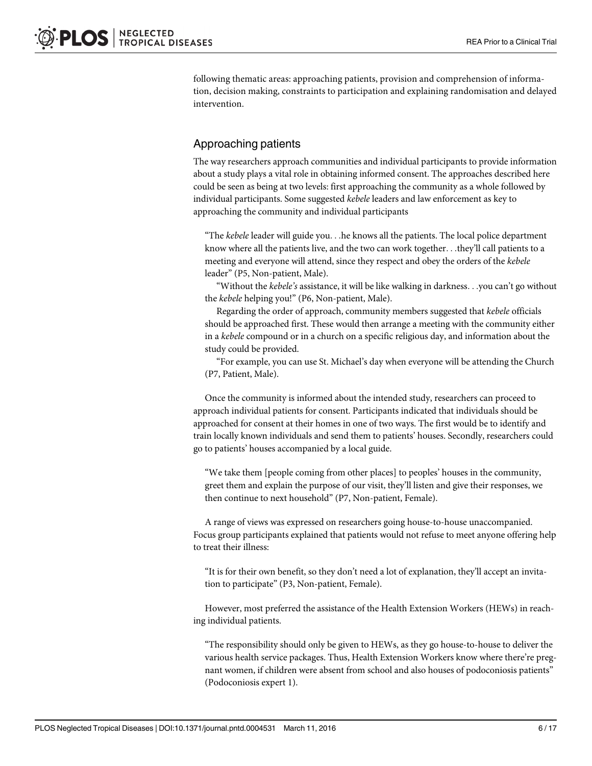following thematic areas: approaching patients, provision and comprehension of information, decision making, constraints to participation and explaining randomisation and delayed intervention.

### Approaching patients

The way researchers approach communities and individual participants to provide information about a study plays a vital role in obtaining informed consent. The approaches described here could be seen as being at two levels: first approaching the community as a whole followed by individual participants. Some suggested kebele leaders and law enforcement as key to approaching the community and individual participants

"The kebele leader will guide you...he knows all the patients. The local police department know where all the patients live, and the two can work together...they'll call patients to a meeting and everyone will attend, since they respect and obey the orders of the kebele leader" (P5, Non-patient, Male).

"Without the kebele's assistance, it will be like walking in darkness...you can't go without the kebele helping you!" (P6, Non-patient, Male).

Regarding the order of approach, community members suggested that kebele officials should be approached first. These would then arrange a meeting with the community either in a kebele compound or in a church on a specific religious day, and information about the study could be provided.

"For example, you can use St. Michael's day when everyone will be attending the Church (P7, Patient, Male).

Once the community is informed about the intended study, researchers can proceed to approach individual patients for consent. Participants indicated that individuals should be approached for consent at their homes in one of two ways. The first would be to identify and train locally known individuals and send them to patients' houses. Secondly, researchers could go to patients' houses accompanied by a local guide.

"We take them [people coming from other places] to peoples' houses in the community, greet them and explain the purpose of our visit, they'll listen and give their responses, we then continue to next household" (P7, Non-patient, Female).

A range of views was expressed on researchers going house-to-house unaccompanied. Focus group participants explained that patients would not refuse to meet anyone offering help to treat their illness:

"It is for their own benefit, so they don't need a lot of explanation, they'll accept an invitation to participate" (P3, Non-patient, Female).

However, most preferred the assistance of the Health Extension Workers (HEWs) in reaching individual patients.

"The responsibility should only be given to HEWs, as they go house-to-house to deliver the various health service packages. Thus, Health Extension Workers know where there're pregnant women, if children were absent from school and also houses of podoconiosis patients" (Podoconiosis expert 1).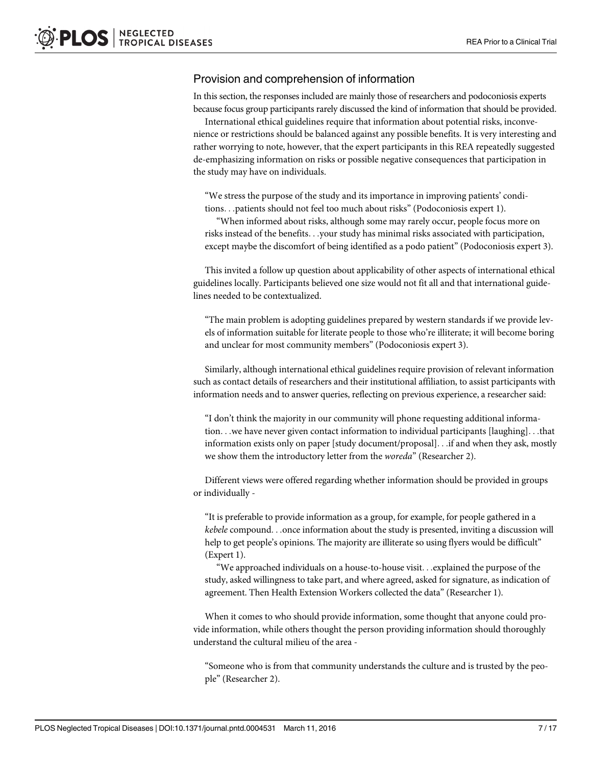### Provision and comprehension of information

In this section, the responses included are mainly those of researchers and podoconiosis experts because focus group participants rarely discussed the kind of information that should be provided.

International ethical guidelines require that information about potential risks, inconvenience or restrictions should be balanced against any possible benefits. It is very interesting and rather worrying to note, however, that the expert participants in this REA repeatedly suggested de-emphasizing information on risks or possible negative consequences that participation in the study may have on individuals.

"We stress the purpose of the study and its importance in improving patients' conditions...patients should not feel too much about risks" (Podoconiosis expert 1).

"When informed about risks, although some may rarely occur, people focus more on risks instead of the benefits...your study has minimal risks associated with participation, except maybe the discomfort of being identified as a podo patient" (Podoconiosis expert 3).

This invited a follow up question about applicability of other aspects of international ethical guidelines locally. Participants believed one size would not fit all and that international guidelines needed to be contextualized.

"The main problem is adopting guidelines prepared by western standards if we provide levels of information suitable for literate people to those who're illiterate; it will become boring and unclear for most community members" (Podoconiosis expert 3).

Similarly, although international ethical guidelines require provision of relevant information such as contact details of researchers and their institutional affiliation, to assist participants with information needs and to answer queries, reflecting on previous experience, a researcher said:

"I don't think the majority in our community will phone requesting additional information...we have never given contact information to individual participants [laughing]...that information exists only on paper [study document/proposal]...if and when they ask, mostly we show them the introductory letter from the woreda" (Researcher 2).

Different views were offered regarding whether information should be provided in groups or individually -

"It is preferable to provide information as a group, for example, for people gathered in a kebele compound...once information about the study is presented, inviting a discussion will help to get people's opinions. The majority are illiterate so using flyers would be difficult" (Expert 1).

"We approached individuals on a house-to-house visit...explained the purpose of the study, asked willingness to take part, and where agreed, asked for signature, as indication of agreement. Then Health Extension Workers collected the data" (Researcher 1).

When it comes to who should provide information, some thought that anyone could provide information, while others thought the person providing information should thoroughly understand the cultural milieu of the area -

"Someone who is from that community understands the culture and is trusted by the people" (Researcher 2).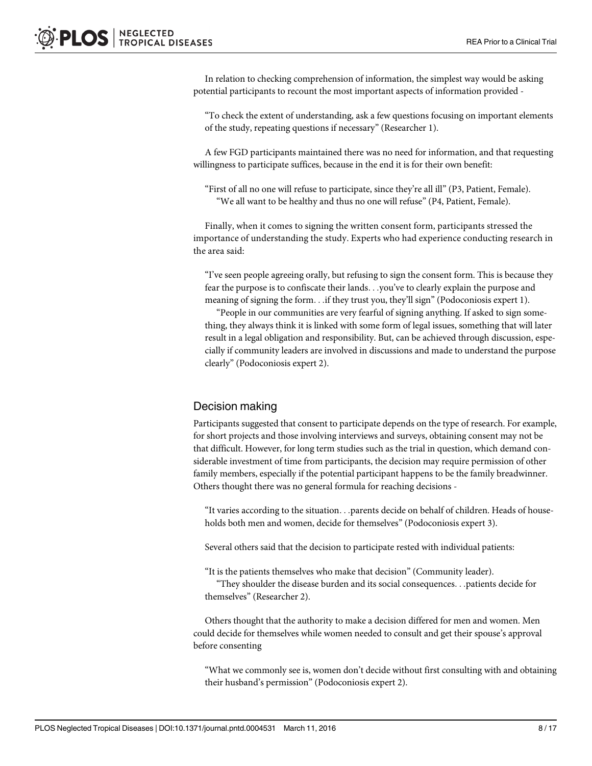In relation to checking comprehension of information, the simplest way would be asking potential participants to recount the most important aspects of information provided -

"To check the extent of understanding, ask a few questions focusing on important elements of the study, repeating questions if necessary" (Researcher 1).

A few FGD participants maintained there was no need for information, and that requesting willingness to participate suffices, because in the end it is for their own benefit:

"First of all no one will refuse to participate, since they're all ill" (P3, Patient, Female). "We all want to be healthy and thus no one will refuse" (P4, Patient, Female).

Finally, when it comes to signing the written consent form, participants stressed the importance of understanding the study. Experts who had experience conducting research in the area said:

"I've seen people agreeing orally, but refusing to sign the consent form. This is because they fear the purpose is to confiscate their lands...you've to clearly explain the purpose and meaning of signing the form...if they trust you, they'll sign" (Podoconiosis expert 1).

"People in our communities are very fearful of signing anything. If asked to sign something, they always think it is linked with some form of legal issues, something that will later result in a legal obligation and responsibility. But, can be achieved through discussion, especially if community leaders are involved in discussions and made to understand the purpose clearly" (Podoconiosis expert 2).

### Decision making

Participants suggested that consent to participate depends on the type of research. For example, for short projects and those involving interviews and surveys, obtaining consent may not be that difficult. However, for long term studies such as the trial in question, which demand considerable investment of time from participants, the decision may require permission of other family members, especially if the potential participant happens to be the family breadwinner. Others thought there was no general formula for reaching decisions -

"It varies according to the situation...parents decide on behalf of children. Heads of households both men and women, decide for themselves" (Podoconiosis expert 3).

Several others said that the decision to participate rested with individual patients:

"It is the patients themselves who make that decision" (Community leader).

"They shoulder the disease burden and its social consequences...patients decide for themselves" (Researcher 2).

Others thought that the authority to make a decision differed for men and women. Men could decide for themselves while women needed to consult and get their spouse's approval before consenting

"What we commonly see is, women don't decide without first consulting with and obtaining their husband's permission" (Podoconiosis expert 2).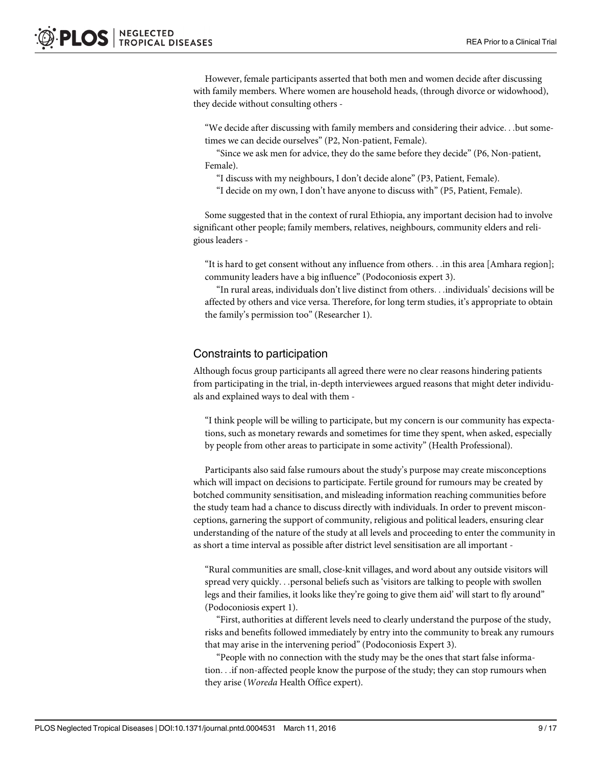However, female participants asserted that both men and women decide after discussing with family members. Where women are household heads, (through divorce or widowhood), they decide without consulting others -

"We decide after discussing with family members and considering their advice...but sometimes we can decide ourselves" (P2, Non-patient, Female).

"Since we ask men for advice, they do the same before they decide" (P6, Non-patient, Female).

"I discuss with my neighbours, I don't decide alone" (P3, Patient, Female).

"I decide on my own, I don't have anyone to discuss with" (P5, Patient, Female).

Some suggested that in the context of rural Ethiopia, any important decision had to involve significant other people; family members, relatives, neighbours, community elders and religious leaders -

"It is hard to get consent without any influence from others...in this area [Amhara region]; community leaders have a big influence" (Podoconiosis expert 3).

"In rural areas, individuals don't live distinct from others...individuals' decisions will be affected by others and vice versa. Therefore, for long term studies, it's appropriate to obtain the family's permission too" (Researcher 1).

### Constraints to participation

Although focus group participants all agreed there were no clear reasons hindering patients from participating in the trial, in-depth interviewees argued reasons that might deter individuals and explained ways to deal with them -

"I think people will be willing to participate, but my concern is our community has expectations, such as monetary rewards and sometimes for time they spent, when asked, especially by people from other areas to participate in some activity" (Health Professional).

Participants also said false rumours about the study's purpose may create misconceptions which will impact on decisions to participate. Fertile ground for rumours may be created by botched community sensitisation, and misleading information reaching communities before the study team had a chance to discuss directly with individuals. In order to prevent misconceptions, garnering the support of community, religious and political leaders, ensuring clear understanding of the nature of the study at all levels and proceeding to enter the community in as short a time interval as possible after district level sensitisation are all important -

"Rural communities are small, close-knit villages, and word about any outside visitors will spread very quickly...personal beliefs such as 'visitors are talking to people with swollen legs and their families, it looks like they're going to give them aid' will start to fly around" (Podoconiosis expert 1).

"First, authorities at different levels need to clearly understand the purpose of the study, risks and benefits followed immediately by entry into the community to break any rumours that may arise in the intervening period" (Podoconiosis Expert 3).

"People with no connection with the study may be the ones that start false information...if non-affected people know the purpose of the study; they can stop rumours when they arise (Woreda Health Office expert).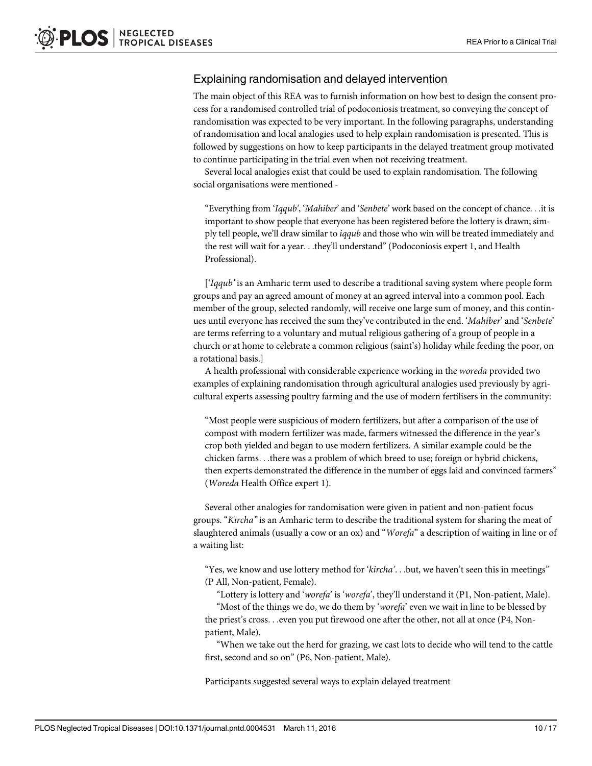### Explaining randomisation and delayed intervention

The main object of this REA was to furnish information on how best to design the consent process for a randomised controlled trial of podoconiosis treatment, so conveying the concept of randomisation was expected to be very important. In the following paragraphs, understanding of randomisation and local analogies used to help explain randomisation is presented. This is followed by suggestions on how to keep participants in the delayed treatment group motivated to continue participating in the trial even when not receiving treatment.

Several local analogies exist that could be used to explain randomisation. The following social organisations were mentioned -

"Everything from 'Iqqub', 'Mahiber' and 'Senbete' work based on the concept of chance...it is important to show people that everyone has been registered before the lottery is drawn; simply tell people, we'll draw similar to *iqqub* and those who win will be treated immediately and the rest will wait for a year...they'll understand" (Podoconiosis expert 1, and Health Professional).

['Iqqub' is an Amharic term used to describe a traditional saving system where people form groups and pay an agreed amount of money at an agreed interval into a common pool. Each member of the group, selected randomly, will receive one large sum of money, and this continues until everyone has received the sum they've contributed in the end. 'Mahiber' and 'Senbete' are terms referring to a voluntary and mutual religious gathering of a group of people in a church or at home to celebrate a common religious (saint's) holiday while feeding the poor, on a rotational basis.]

A health professional with considerable experience working in the woreda provided two examples of explaining randomisation through agricultural analogies used previously by agricultural experts assessing poultry farming and the use of modern fertilisers in the community:

"Most people were suspicious of modern fertilizers, but after a comparison of the use of compost with modern fertilizer was made, farmers witnessed the difference in the year's crop both yielded and began to use modern fertilizers. A similar example could be the chicken farms...there was a problem of which breed to use; foreign or hybrid chickens, then experts demonstrated the difference in the number of eggs laid and convinced farmers" (Woreda Health Office expert 1).

Several other analogies for randomisation were given in patient and non-patient focus groups. "Kircha" is an Amharic term to describe the traditional system for sharing the meat of slaughtered animals (usually a cow or an ox) and "Worefa" a description of waiting in line or of a waiting list:

"Yes, we know and use lottery method for 'kircha'...but, we haven't seen this in meetings" (P All, Non-patient, Female).

"Lottery is lottery and 'worefa' is 'worefa', they'll understand it (P1, Non-patient, Male).

"Most of the things we do, we do them by 'worefa' even we wait in line to be blessed by the priest's cross...even you put firewood one after the other, not all at once (P4, Nonpatient, Male).

"When we take out the herd for grazing, we cast lots to decide who will tend to the cattle first, second and so on" (P6, Non-patient, Male).

Participants suggested several ways to explain delayed treatment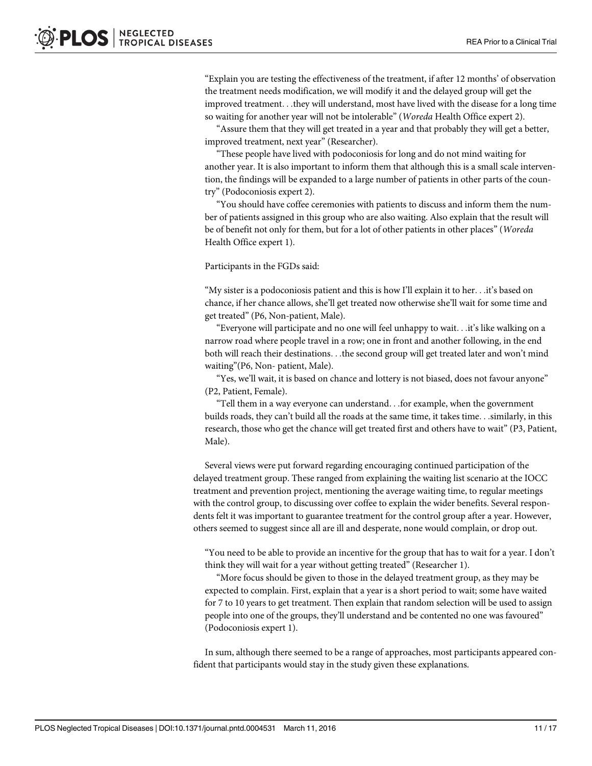"Explain you are testing the effectiveness of the treatment, if after 12 months' of observation the treatment needs modification, we will modify it and the delayed group will get the improved treatment...they will understand, most have lived with the disease for a long time so waiting for another year will not be intolerable" (Woreda Health Office expert 2).

"Assure them that they will get treated in a year and that probably they will get a better, improved treatment, next year" (Researcher).

"These people have lived with podoconiosis for long and do not mind waiting for another year. It is also important to inform them that although this is a small scale intervention, the findings will be expanded to a large number of patients in other parts of the country" (Podoconiosis expert 2).

"You should have coffee ceremonies with patients to discuss and inform them the number of patients assigned in this group who are also waiting. Also explain that the result will be of benefit not only for them, but for a lot of other patients in other places" (Woreda Health Office expert 1).

Participants in the FGDs said:

"My sister is a podoconiosis patient and this is how I'll explain it to her...it's based on chance, if her chance allows, she'll get treated now otherwise she'll wait for some time and get treated" (P6, Non-patient, Male).

"Everyone will participate and no one will feel unhappy to wait...it's like walking on a narrow road where people travel in a row; one in front and another following, in the end both will reach their destinations...the second group will get treated later and won't mind waiting"(P6, Non- patient, Male).

"Yes, we'll wait, it is based on chance and lottery is not biased, does not favour anyone" (P2, Patient, Female).

"Tell them in a way everyone can understand...for example, when the government builds roads, they can't build all the roads at the same time, it takes time...similarly, in this research, those who get the chance will get treated first and others have to wait" (P3, Patient, Male).

Several views were put forward regarding encouraging continued participation of the delayed treatment group. These ranged from explaining the waiting list scenario at the IOCC treatment and prevention project, mentioning the average waiting time, to regular meetings with the control group, to discussing over coffee to explain the wider benefits. Several respondents felt it was important to guarantee treatment for the control group after a year. However, others seemed to suggest since all are ill and desperate, none would complain, or drop out.

"You need to be able to provide an incentive for the group that has to wait for a year. I don't think they will wait for a year without getting treated" (Researcher 1).

"More focus should be given to those in the delayed treatment group, as they may be expected to complain. First, explain that a year is a short period to wait; some have waited for 7 to 10 years to get treatment. Then explain that random selection will be used to assign people into one of the groups, they'll understand and be contented no one was favoured" (Podoconiosis expert 1).

In sum, although there seemed to be a range of approaches, most participants appeared confident that participants would stay in the study given these explanations.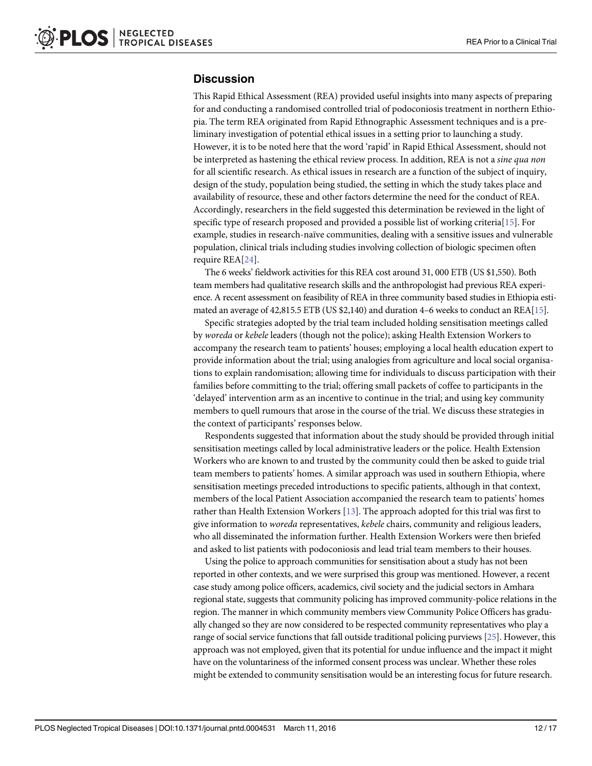### <span id="page-11-0"></span>**Discussion**

This Rapid Ethical Assessment (REA) provided useful insights into many aspects of preparing for and conducting a randomised controlled trial of podoconiosis treatment in northern Ethiopia. The term REA originated from Rapid Ethnographic Assessment techniques and is a preliminary investigation of potential ethical issues in a setting prior to launching a study. However, it is to be noted here that the word 'rapid' in Rapid Ethical Assessment, should not be interpreted as hastening the ethical review process. In addition, REA is not a sine qua non for all scientific research. As ethical issues in research are a function of the subject of inquiry, design of the study, population being studied, the setting in which the study takes place and availability of resource, these and other factors determine the need for the conduct of REA. Accordingly, researchers in the field suggested this determination be reviewed in the light of specific type of research proposed and provided a possible list of working criteria[\[15\]](#page-16-0). For example, studies in research-naïve communities, dealing with a sensitive issues and vulnerable population, clinical trials including studies involving collection of biologic specimen often require REA[[24](#page-16-0)].

The 6 weeks' fieldwork activities for this REA cost around 31, 000 ETB (US \$1,550). Both team members had qualitative research skills and the anthropologist had previous REA experience. A recent assessment on feasibility of REA in three community based studies in Ethiopia estimated an average of 42,815.5 ETB (US \$2,140) and duration 4–6 weeks to conduct an REA[\[15](#page-16-0)].

Specific strategies adopted by the trial team included holding sensitisation meetings called by woreda or kebele leaders (though not the police); asking Health Extension Workers to accompany the research team to patients' houses; employing a local health education expert to provide information about the trial; using analogies from agriculture and local social organisations to explain randomisation; allowing time for individuals to discuss participation with their families before committing to the trial; offering small packets of coffee to participants in the 'delayed' intervention arm as an incentive to continue in the trial; and using key community members to quell rumours that arose in the course of the trial. We discuss these strategies in the context of participants' responses below.

Respondents suggested that information about the study should be provided through initial sensitisation meetings called by local administrative leaders or the police. Health Extension Workers who are known to and trusted by the community could then be asked to guide trial team members to patients' homes. A similar approach was used in southern Ethiopia, where sensitisation meetings preceded introductions to specific patients, although in that context, members of the local Patient Association accompanied the research team to patients' homes rather than Health Extension Workers [\[13\]](#page-16-0). The approach adopted for this trial was first to give information to woreda representatives, kebele chairs, community and religious leaders, who all disseminated the information further. Health Extension Workers were then briefed and asked to list patients with podoconiosis and lead trial team members to their houses.

Using the police to approach communities for sensitisation about a study has not been reported in other contexts, and we were surprised this group was mentioned. However, a recent case study among police officers, academics, civil society and the judicial sectors in Amhara regional state, suggests that community policing has improved community-police relations in the region. The manner in which community members view Community Police Officers has gradually changed so they are now considered to be respected community representatives who play a range of social service functions that fall outside traditional policing purviews [\[25](#page-16-0)]. However, this approach was not employed, given that its potential for undue influence and the impact it might have on the voluntariness of the informed consent process was unclear. Whether these roles might be extended to community sensitisation would be an interesting focus for future research.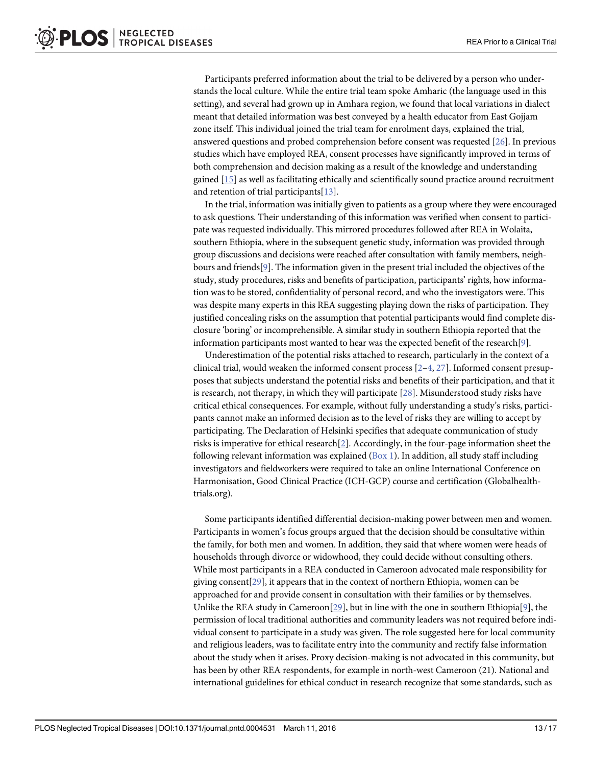<span id="page-12-0"></span>Participants preferred information about the trial to be delivered by a person who understands the local culture. While the entire trial team spoke Amharic (the language used in this setting), and several had grown up in Amhara region, we found that local variations in dialect meant that detailed information was best conveyed by a health educator from East Gojjam zone itself. This individual joined the trial team for enrolment days, explained the trial, answered questions and probed comprehension before consent was requested [[26](#page-16-0)]. In previous studies which have employed REA, consent processes have significantly improved in terms of both comprehension and decision making as a result of the knowledge and understanding gained [\[15\]](#page-16-0) as well as facilitating ethically and scientifically sound practice around recruitment and retention of trial participants[\[13\]](#page-16-0).

In the trial, information was initially given to patients as a group where they were encouraged to ask questions. Their understanding of this information was verified when consent to participate was requested individually. This mirrored procedures followed after REA in Wolaita, southern Ethiopia, where in the subsequent genetic study, information was provided through group discussions and decisions were reached after consultation with family members, neighbours and friends[\[9\]](#page-16-0). The information given in the present trial included the objectives of the study, study procedures, risks and benefits of participation, participants' rights, how information was to be stored, confidentiality of personal record, and who the investigators were. This was despite many experts in this REA suggesting playing down the risks of participation. They justified concealing risks on the assumption that potential participants would find complete disclosure 'boring' or incomprehensible. A similar study in southern Ethiopia reported that the information participants most wanted to hear was the expected benefit of the research [\[9\]](#page-16-0).

Underestimation of the potential risks attached to research, particularly in the context of a clinical trial, would weaken the informed consent process  $[2-4, 27]$  $[2-4, 27]$  $[2-4, 27]$  $[2-4, 27]$  $[2-4, 27]$ . Informed consent presupposes that subjects understand the potential risks and benefits of their participation, and that it is research, not therapy, in which they will participate [[28\]](#page-16-0). Misunderstood study risks have critical ethical consequences. For example, without fully understanding a study's risks, participants cannot make an informed decision as to the level of risks they are willing to accept by participating. The Declaration of Helsinki specifies that adequate communication of study risks is imperative for ethical research[[2](#page-15-0)]. Accordingly, in the four-page information sheet the following relevant information was explained ( $Box 1$ ). In addition, all study staff including investigators and fieldworkers were required to take an online International Conference on Harmonisation, Good Clinical Practice (ICH-GCP) course and certification (Globalhealthtrials.org).

Some participants identified differential decision-making power between men and women. Participants in women's focus groups argued that the decision should be consultative within the family, for both men and women. In addition, they said that where women were heads of households through divorce or widowhood, they could decide without consulting others. While most participants in a REA conducted in Cameroon advocated male responsibility for giving consent[[29](#page-16-0)], it appears that in the context of northern Ethiopia, women can be approached for and provide consent in consultation with their families or by themselves. Unlike the REA study in Cameroon[[29](#page-16-0)], but in line with the one in southern Ethiopia[\[9\]](#page-16-0), the permission of local traditional authorities and community leaders was not required before individual consent to participate in a study was given. The role suggested here for local community and religious leaders, was to facilitate entry into the community and rectify false information about the study when it arises. Proxy decision-making is not advocated in this community, but has been by other REA respondents, for example in north-west Cameroon (21). National and international guidelines for ethical conduct in research recognize that some standards, such as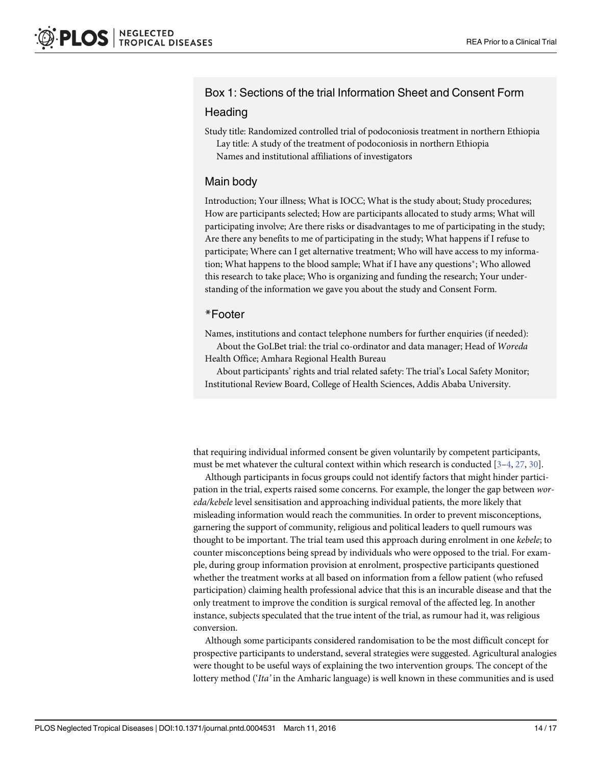### <span id="page-13-0"></span>Box 1: Sections of the trial Information Sheet and Consent Form

### **Heading**

Study title: Randomized controlled trial of podoconiosis treatment in northern Ethiopia Lay title: A study of the treatment of podoconiosis in northern Ethiopia Names and institutional affiliations of investigators

### Main body

Introduction; Your illness; What is IOCC; What is the study about; Study procedures; How are participants selected; How are participants allocated to study arms; What will participating involve; Are there risks or disadvantages to me of participating in the study; Are there any benefits to me of participating in the study; What happens if I refuse to participate; Where can I get alternative treatment; Who will have access to my information; What happens to the blood sample; What if I have any questions\*; Who allowed this research to take place; Who is organizing and funding the research; Your understanding of the information we gave you about the study and Consent Form.

### \*Footer

Names, institutions and contact telephone numbers for further enquiries (if needed):

About the GoLBet trial: the trial co-ordinator and data manager; Head of Woreda Health Office; Amhara Regional Health Bureau

About participants' rights and trial related safety: The trial's Local Safety Monitor; Institutional Review Board, College of Health Sciences, Addis Ababa University.

that requiring individual informed consent be given voluntarily by competent participants, must be met whatever the cultural context within which research is conducted  $[3-4, 27, 30]$  $[3-4, 27, 30]$  $[3-4, 27, 30]$  $[3-4, 27, 30]$  $[3-4, 27, 30]$  $[3-4, 27, 30]$  $[3-4, 27, 30]$ .

Although participants in focus groups could not identify factors that might hinder participation in the trial, experts raised some concerns. For example, the longer the gap between woreda/kebele level sensitisation and approaching individual patients, the more likely that misleading information would reach the communities. In order to prevent misconceptions, garnering the support of community, religious and political leaders to quell rumours was thought to be important. The trial team used this approach during enrolment in one kebele; to counter misconceptions being spread by individuals who were opposed to the trial. For example, during group information provision at enrolment, prospective participants questioned whether the treatment works at all based on information from a fellow patient (who refused participation) claiming health professional advice that this is an incurable disease and that the only treatment to improve the condition is surgical removal of the affected leg. In another instance, subjects speculated that the true intent of the trial, as rumour had it, was religious conversion.

Although some participants considered randomisation to be the most difficult concept for prospective participants to understand, several strategies were suggested. Agricultural analogies were thought to be useful ways of explaining the two intervention groups. The concept of the lottery method ('Ita' in the Amharic language) is well known in these communities and is used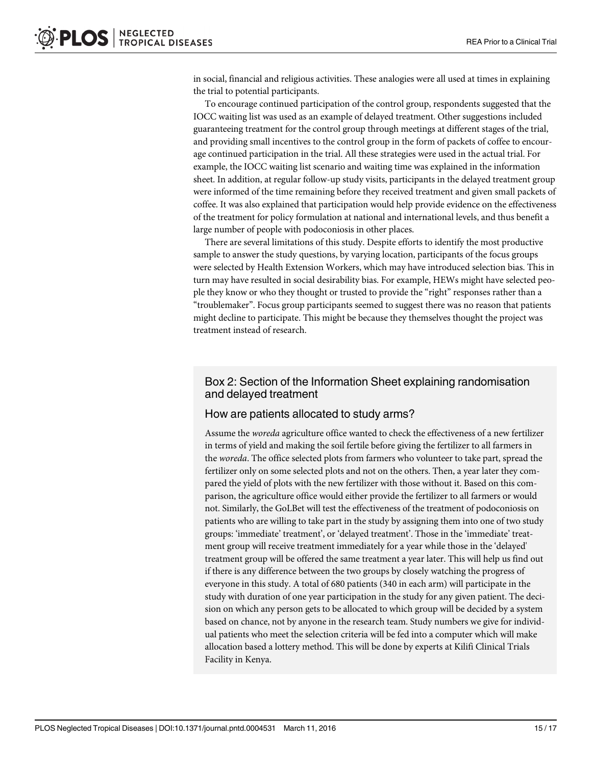<span id="page-14-0"></span>in social, financial and religious activities. These analogies were all used at times in explaining the trial to potential participants.

To encourage continued participation of the control group, respondents suggested that the IOCC waiting list was used as an example of delayed treatment. Other suggestions included guaranteeing treatment for the control group through meetings at different stages of the trial, and providing small incentives to the control group in the form of packets of coffee to encourage continued participation in the trial. All these strategies were used in the actual trial. For example, the IOCC waiting list scenario and waiting time was explained in the information sheet. In addition, at regular follow-up study visits, participants in the delayed treatment group were informed of the time remaining before they received treatment and given small packets of coffee. It was also explained that participation would help provide evidence on the effectiveness of the treatment for policy formulation at national and international levels, and thus benefit a large number of people with podoconiosis in other places.

There are several limitations of this study. Despite efforts to identify the most productive sample to answer the study questions, by varying location, participants of the focus groups were selected by Health Extension Workers, which may have introduced selection bias. This in turn may have resulted in social desirability bias. For example, HEWs might have selected people they know or who they thought or trusted to provide the "right" responses rather than a "troublemaker". Focus group participants seemed to suggest there was no reason that patients might decline to participate. This might be because they themselves thought the project was treatment instead of research.

### Box 2: Section of the Information Sheet explaining randomisation and delayed treatment

### How are patients allocated to study arms?

Assume the woreda agriculture office wanted to check the effectiveness of a new fertilizer in terms of yield and making the soil fertile before giving the fertilizer to all farmers in the *woreda*. The office selected plots from farmers who volunteer to take part, spread the fertilizer only on some selected plots and not on the others. Then, a year later they compared the yield of plots with the new fertilizer with those without it. Based on this comparison, the agriculture office would either provide the fertilizer to all farmers or would not. Similarly, the GoLBet will test the effectiveness of the treatment of podoconiosis on patients who are willing to take part in the study by assigning them into one of two study groups: 'immediate' treatment', or 'delayed treatment'. Those in the 'immediate' treatment group will receive treatment immediately for a year while those in the 'delayed' treatment group will be offered the same treatment a year later. This will help us find out if there is any difference between the two groups by closely watching the progress of everyone in this study. A total of 680 patients (340 in each arm) will participate in the study with duration of one year participation in the study for any given patient. The decision on which any person gets to be allocated to which group will be decided by a system based on chance, not by anyone in the research team. Study numbers we give for individual patients who meet the selection criteria will be fed into a computer which will make allocation based a lottery method. This will be done by experts at Kilifi Clinical Trials Facility in Kenya.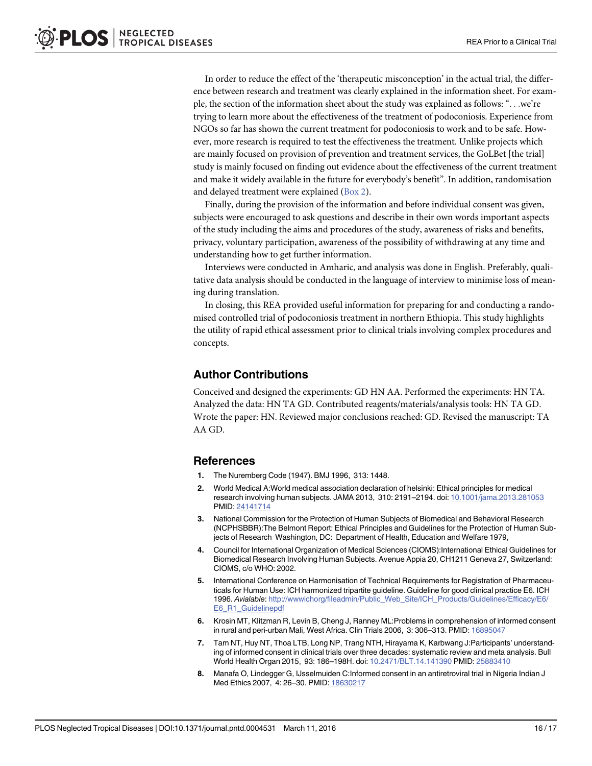<span id="page-15-0"></span>In order to reduce the effect of the 'therapeutic misconception' in the actual trial, the difference between research and treatment was clearly explained in the information sheet. For example, the section of the information sheet about the study was explained as follows: "...we're trying to learn more about the effectiveness of the treatment of podoconiosis. Experience from NGOs so far has shown the current treatment for podoconiosis to work and to be safe. However, more research is required to test the effectiveness the treatment. Unlike projects which are mainly focused on provision of prevention and treatment services, the GoLBet [the trial] study is mainly focused on finding out evidence about the effectiveness of the current treatment and make it widely available in the future for everybody's benefit". In addition, randomisation and delayed treatment were explained ([Box 2](#page-14-0)).

Finally, during the provision of the information and before individual consent was given, subjects were encouraged to ask questions and describe in their own words important aspects of the study including the aims and procedures of the study, awareness of risks and benefits, privacy, voluntary participation, awareness of the possibility of withdrawing at any time and understanding how to get further information.

Interviews were conducted in Amharic, and analysis was done in English. Preferably, qualitative data analysis should be conducted in the language of interview to minimise loss of meaning during translation.

In closing, this REA provided useful information for preparing for and conducting a randomised controlled trial of podoconiosis treatment in northern Ethiopia. This study highlights the utility of rapid ethical assessment prior to clinical trials involving complex procedures and concepts.

### Author Contributions

Conceived and designed the experiments: GD HN AA. Performed the experiments: HN TA. Analyzed the data: HN TA GD. Contributed reagents/materials/analysis tools: HN TA GD. Wrote the paper: HN. Reviewed major conclusions reached: GD. Revised the manuscript: TA AA GD.

#### References

- [1.](#page-1-0) The Nuremberg Code (1947). BMJ 1996, 313: 1448.
- [2.](#page-1-0) World Medical A:World medical association declaration of helsinki: Ethical principles for medical research involving human subjects. JAMA 2013, 310: 2191–2194. doi: [10.1001/jama.2013.281053](http://dx.doi.org/10.1001/jama.2013.281053) PMID: [24141714](http://www.ncbi.nlm.nih.gov/pubmed/24141714)
- [3.](#page-1-0) National Commission for the Protection of Human Subjects of Biomedical and Behavioral Research (NCPHSBBR):The Belmont Report: Ethical Principles and Guidelines for the Protection of Human Subjects of Research Washington, DC: Department of Health, Education and Welfare 1979,
- [4.](#page-1-0) Council for International Organization of Medical Sciences (CIOMS):International Ethical Guidelines for Biomedical Research Involving Human Subjects. Avenue Appia 20, CH1211 Geneva 27, Switzerland: CIOMS, c/o WHO: 2002.
- [5.](#page-1-0) International Conference on Harmonisation of Technical Requirements for Registration of Pharmaceuticals for Human Use: ICH harmonized tripartite guideline. Guideline for good clinical practice E6. ICH 1996. Avialable: [http://wwwichorg/fileadmin/Public\\_Web\\_Site/ICH\\_Products/Guidelines/Efficacy/E6/](http://wwwichorg/fileadmin/Public_Web_Site/ICH_Products/Guidelines/Efficacy/E6/E6_R1_Guidelinepdf) [E6\\_R1\\_Guidelinepdf](http://wwwichorg/fileadmin/Public_Web_Site/ICH_Products/Guidelines/Efficacy/E6/E6_R1_Guidelinepdf)
- [6.](#page-1-0) Krosin MT, Klitzman R, Levin B, Cheng J, Ranney ML:Problems in comprehension of informed consent in rural and peri-urban Mali, West Africa. Clin Trials 2006, 3: 306–313. PMID: [16895047](http://www.ncbi.nlm.nih.gov/pubmed/16895047)
- [7.](#page-1-0) Tam NT, Huy NT, Thoa LTB, Long NP, Trang NTH, Hirayama K, Karbwang J:Participants' understanding of informed consent in clinical trials over three decades: systematic review and meta analysis. Bull World Health Organ 2015, 93: 186–198H. doi: [10.2471/BLT.14.141390](http://dx.doi.org/10.2471/BLT.14.141390) PMID: [25883410](http://www.ncbi.nlm.nih.gov/pubmed/25883410)
- [8.](#page-2-0) Manafa O, Lindegger G, IJsselmuiden C:Informed consent in an antiretroviral trial in Nigeria Indian J Med Ethics 2007, 4: 26–30. PMID: [18630217](http://www.ncbi.nlm.nih.gov/pubmed/18630217)